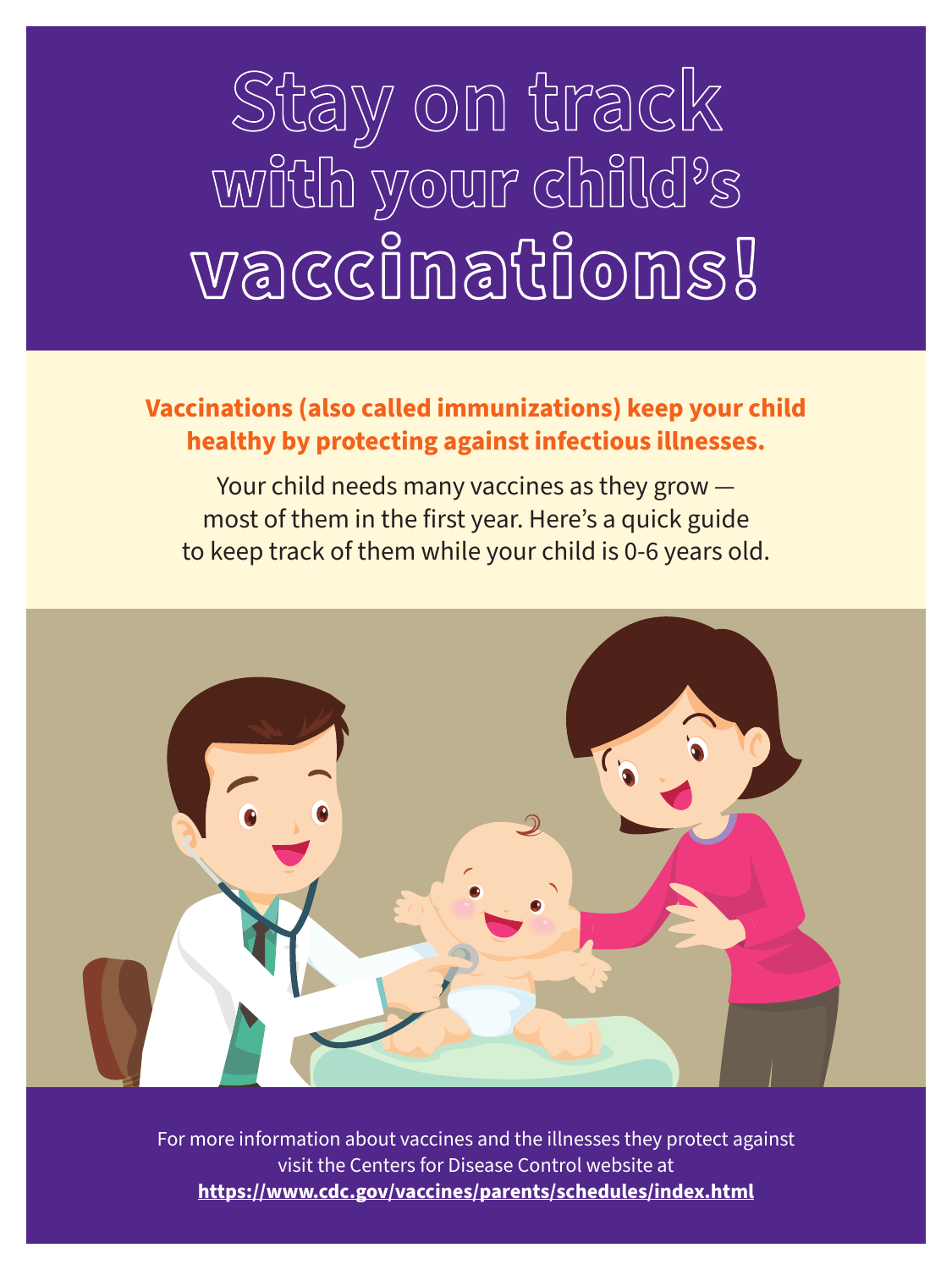## **Stay on track** with your child's vaccinations!

## **Vaccinations (also called immunizations) keep your child healthy by protecting against infectious illnesses.**

Your child needs many vaccines as they grow most of them in the first year. Here's a quick guide to keep track of them while your child is 0-6 years old.



For more information about vaccines and the illnesses they protect against visit the Centers for Disease Control website at **https://www.cdc.gov/vaccines/parents/schedules/index.html**